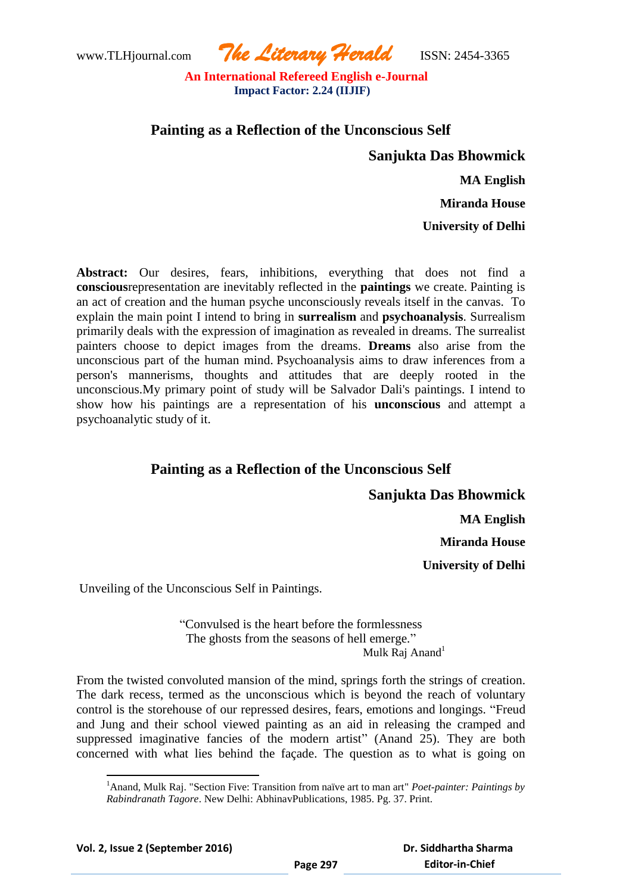www.TLHjournal.com *The Literary Herald*ISSN: 2454-3365

# **Painting as a Reflection of the Unconscious Self**

**Sanjukta Das Bhowmick**

 **MA English**

**Miranda House**

**University of Delhi**

**Abstract:** Our desires, fears, inhibitions, everything that does not find a **conscious**representation are inevitably reflected in the **paintings** we create. Painting is an act of creation and the human psyche unconsciously reveals itself in the canvas. To explain the main point I intend to bring in **surrealism** and **psychoanalysis**. Surrealism primarily deals with the expression of imagination as revealed in dreams. The surrealist painters choose to depict images from the dreams. **Dreams** also arise from the unconscious part of the human mind. Psychoanalysis aims to draw inferences from a person's mannerisms, thoughts and attitudes that are deeply rooted in the unconscious.My primary point of study will be Salvador Dali's paintings. I intend to show how his paintings are a representation of his **unconscious** and attempt a psychoanalytic study of it.

# **Painting as a Reflection of the Unconscious Self**

#### **Sanjukta Das Bhowmick**

 **MA English**

**Miranda House**

**University of Delhi**

Unveiling of the Unconscious Self in Paintings.

"Convulsed is the heart before the formlessness The ghosts from the seasons of hell emerge." Mulk Raj Anand $1$ 

From the twisted convoluted mansion of the mind, springs forth the strings of creation. The dark recess, termed as the unconscious which is beyond the reach of voluntary control is the storehouse of our repressed desires, fears, emotions and longings. "Freud and Jung and their school viewed painting as an aid in releasing the cramped and suppressed imaginative fancies of the modern artist" (Anand 25). They are both concerned with what lies behind the façade. The question as to what is going on

<sup>1</sup>Anand, Mulk Raj. "Section Five: Transition from naïve art to man art" *Poet-painter: Paintings by Rabindranath Tagore*. New Delhi: AbhinavPublications, 1985. Pg. 37. Print.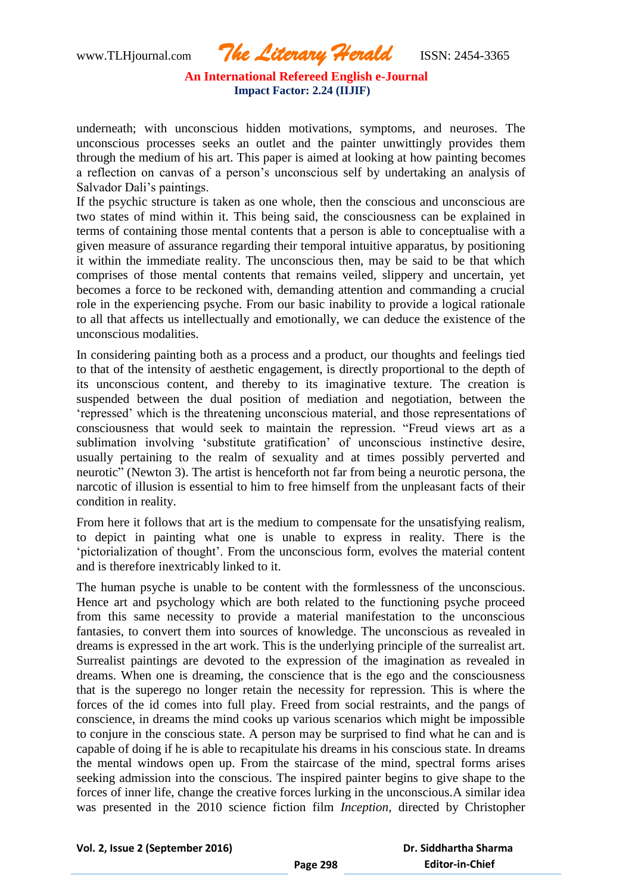www.TLHjournal.com *The Literary Herald*ISSN: 2454-3365

underneath; with unconscious hidden motivations, symptoms, and neuroses. The unconscious processes seeks an outlet and the painter unwittingly provides them through the medium of his art. This paper is aimed at looking at how painting becomes a reflection on canvas of a person"s unconscious self by undertaking an analysis of Salvador Dali"s paintings.

If the psychic structure is taken as one whole, then the conscious and unconscious are two states of mind within it. This being said, the consciousness can be explained in terms of containing those mental contents that a person is able to conceptualise with a given measure of assurance regarding their temporal intuitive apparatus, by positioning it within the immediate reality. The unconscious then, may be said to be that which comprises of those mental contents that remains veiled, slippery and uncertain, yet becomes a force to be reckoned with, demanding attention and commanding a crucial role in the experiencing psyche. From our basic inability to provide a logical rationale to all that affects us intellectually and emotionally, we can deduce the existence of the unconscious modalities.

In considering painting both as a process and a product, our thoughts and feelings tied to that of the intensity of aesthetic engagement, is directly proportional to the depth of its unconscious content, and thereby to its imaginative texture. The creation is suspended between the dual position of mediation and negotiation, between the "repressed" which is the threatening unconscious material, and those representations of consciousness that would seek to maintain the repression. "Freud views art as a sublimation involving "substitute gratification" of unconscious instinctive desire, usually pertaining to the realm of sexuality and at times possibly perverted and neurotic" (Newton 3). The artist is henceforth not far from being a neurotic persona, the narcotic of illusion is essential to him to free himself from the unpleasant facts of their condition in reality.

From here it follows that art is the medium to compensate for the unsatisfying realism, to depict in painting what one is unable to express in reality. There is the 'pictorialization of thought'. From the unconscious form, evolves the material content and is therefore inextricably linked to it.

The human psyche is unable to be content with the formlessness of the unconscious. Hence art and psychology which are both related to the functioning psyche proceed from this same necessity to provide a material manifestation to the unconscious fantasies, to convert them into sources of knowledge. The unconscious as revealed in dreams is expressed in the art work. This is the underlying principle of the surrealist art. Surrealist paintings are devoted to the expression of the imagination as revealed in dreams. When one is dreaming, the conscience that is the ego and the consciousness that is the superego no longer retain the necessity for repression. This is where the forces of the id comes into full play. Freed from social restraints, and the pangs of conscience, in dreams the mind cooks up various scenarios which might be impossible to conjure in the conscious state. A person may be surprised to find what he can and is capable of doing if he is able to recapitulate his dreams in his conscious state. In dreams the mental windows open up. From the staircase of the mind, spectral forms arises seeking admission into the conscious. The inspired painter begins to give shape to the forces of inner life, change the creative forces lurking in the unconscious.A similar idea was presented in the 2010 science fiction film *Inception*, directed by Christopher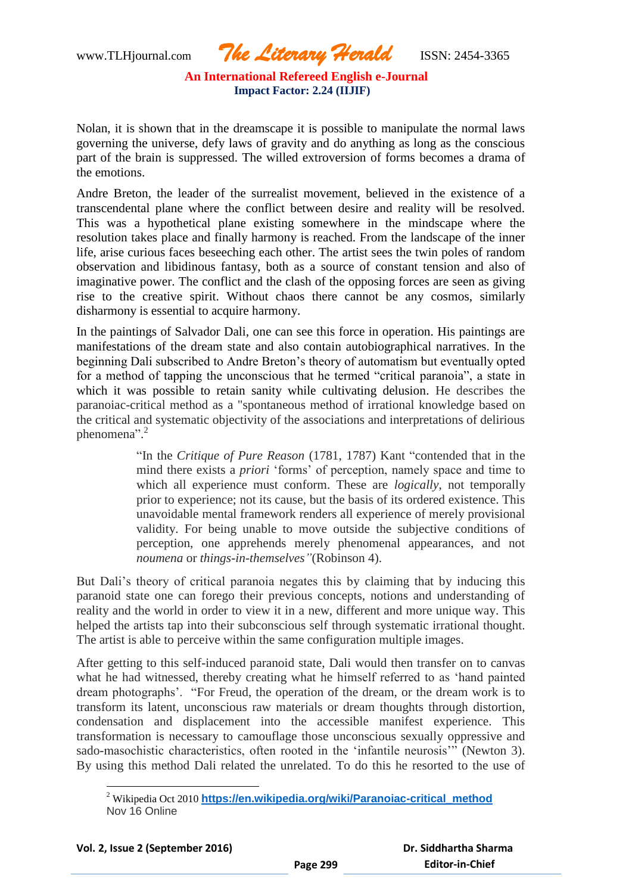Nolan, it is shown that in the dreamscape it is possible to manipulate the normal laws governing the universe, defy laws of gravity and do anything as long as the conscious part of the brain is suppressed. The willed extroversion of forms becomes a drama of the emotions.

Andre Breton, the leader of the surrealist movement, believed in the existence of a transcendental plane where the conflict between desire and reality will be resolved. This was a hypothetical plane existing somewhere in the mindscape where the resolution takes place and finally harmony is reached. From the landscape of the inner life, arise curious faces beseeching each other. The artist sees the twin poles of random observation and libidinous fantasy, both as a source of constant tension and also of imaginative power. The conflict and the clash of the opposing forces are seen as giving rise to the creative spirit. Without chaos there cannot be any cosmos, similarly disharmony is essential to acquire harmony.

In the paintings of Salvador Dali, one can see this force in operation. His paintings are manifestations of the dream state and also contain autobiographical narratives. In the beginning Dali subscribed to Andre Breton"s theory of automatism but eventually opted for a method of tapping the unconscious that he termed "critical paranoia", a state in which it was possible to retain sanity while cultivating delusion. He describes the paranoiac-critical method as a "spontaneous method of irrational knowledge based on the critical and systematic objectivity of the associations and interpretations of delirious phenomena".<sup>2</sup>

> "In the *Critique of Pure Reason* (1781, 1787) Kant "contended that in the mind there exists a *priori* 'forms' of perception, namely space and time to which all experience must conform. These are *logically*, not temporally prior to experience; not its cause, but the basis of its ordered existence. This unavoidable mental framework renders all experience of merely provisional validity. For being unable to move outside the subjective conditions of perception, one apprehends merely phenomenal appearances, and not *noumena* or *things-in-themselves"*(Robinson 4).

But Dali"s theory of critical paranoia negates this by claiming that by inducing this paranoid state one can forego their previous concepts, notions and understanding of reality and the world in order to view it in a new, different and more unique way. This helped the artists tap into their subconscious self through systematic irrational thought. The artist is able to perceive within the same configuration multiple images.

After getting to this self-induced paranoid state, Dali would then transfer on to canvas what he had witnessed, thereby creating what he himself referred to as "hand painted dream photographs". "For Freud, the operation of the dream, or the dream work is to transform its latent, unconscious raw materials or dream thoughts through distortion, condensation and displacement into the accessible manifest experience. This transformation is necessary to camouflage those unconscious sexually oppressive and sado-masochistic characteristics, often rooted in the "infantile neurosis"" (Newton 3). By using this method Dali related the unrelated. To do this he resorted to the use of

l <sup>2</sup> Wikipedia Oct 2010 **[https://en.wikipedia.org/wiki/Paranoiac-critical\\_method](https://en.wikipedia.org/wiki/Paranoiac-critical_method)** Nov 16 Online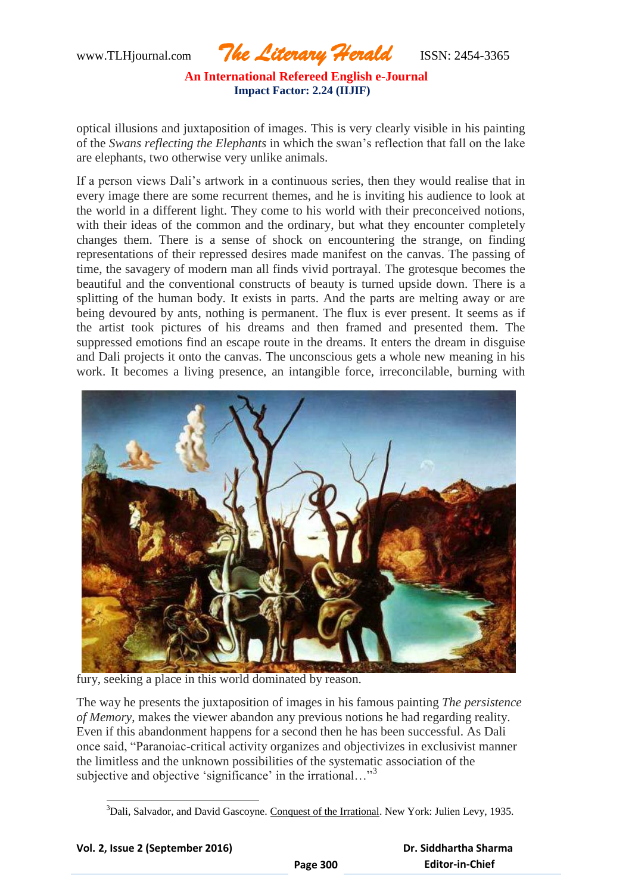www.TLHjournal.com *The Literary Herald*ISSN: 2454-3365

optical illusions and juxtaposition of images. This is very clearly visible in his painting of the *Swans reflecting the Elephants* in which the swan"s reflection that fall on the lake are elephants, two otherwise very unlike animals.

If a person views Dali"s artwork in a continuous series, then they would realise that in every image there are some recurrent themes, and he is inviting his audience to look at the world in a different light. They come to his world with their preconceived notions, with their ideas of the common and the ordinary, but what they encounter completely changes them. There is a sense of shock on encountering the strange, on finding representations of their repressed desires made manifest on the canvas. The passing of time, the savagery of modern man all finds vivid portrayal. The grotesque becomes the beautiful and the conventional constructs of beauty is turned upside down. There is a splitting of the human body. It exists in parts. And the parts are melting away or are being devoured by ants, nothing is permanent. The flux is ever present. It seems as if the artist took pictures of his dreams and then framed and presented them. The suppressed emotions find an escape route in the dreams. It enters the dream in disguise and Dali projects it onto the canvas. The unconscious gets a whole new meaning in his work. It becomes a living presence, an intangible force, irreconcilable, burning with



fury, seeking a place in this world dominated by reason.

The way he presents the juxtaposition of images in his famous painting *The persistence of Memory*, makes the viewer abandon any previous notions he had regarding reality. Even if this abandonment happens for a second then he has been successful. As Dali once said, "Paranoiac-critical activity organizes and objectivizes in exclusivist manner the limitless and the unknown possibilities of the systematic association of the subjective and objective 'significance' in the irrational..."<sup>3</sup>

<sup>&</sup>lt;sup>3</sup>Dali, Salvador, and David Gascoyne. Conquest of the Irrational. New York: Julien Levy, 1935.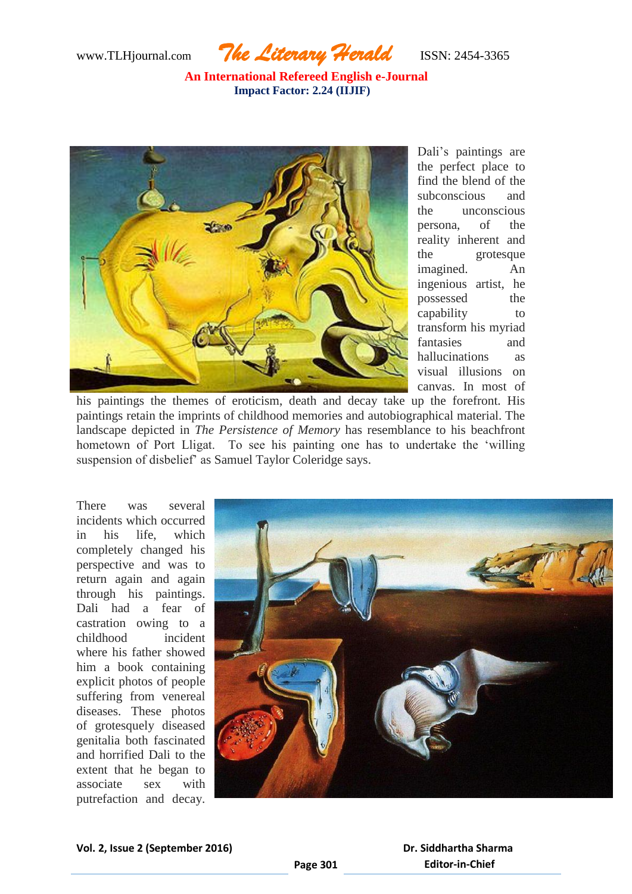www.TLHjournal.com *The Literary Herald*ISSN: 2454-3365



Dali"s paintings are the perfect place to find the blend of the subconscious and the unconscious persona, of the reality inherent and the grotesque imagined. An ingenious artist, he possessed the capability to transform his myriad fantasies and hallucinations as visual illusions on canvas. In most of

his paintings the themes of eroticism, death and decay take up the forefront. His paintings retain the imprints of childhood memories and autobiographical material. The landscape depicted in *The Persistence of Memory* has resemblance to his beachfront hometown of Port Lligat. To see his painting one has to undertake the "willing suspension of disbelief" as Samuel Taylor Coleridge says.

There was several incidents which occurred in his life, which completely changed his perspective and was to return again and again through his paintings. Dali had a fear of castration owing to a childhood incident where his father showed him a book containing explicit photos of people suffering from venereal diseases. These photos of grotesquely diseased genitalia both fascinated and horrified Dali to the extent that he began to associate sex with putrefaction and decay.

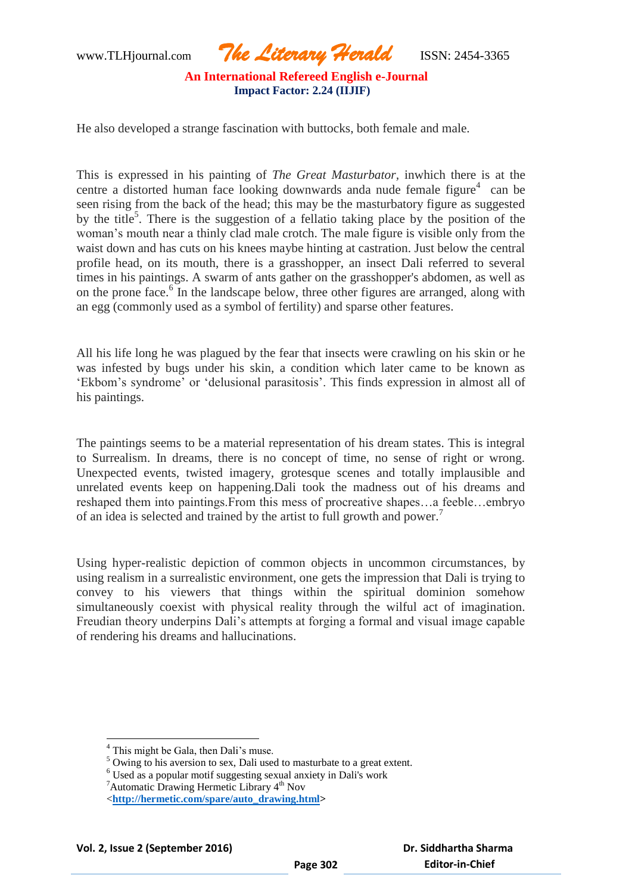www.TLHjournal.com *The Literary Herald*ISSN: 2454-3365

He also developed a strange fascination with buttocks, both female and male.

This is expressed in his painting of *The Great Masturbator,* inwhich there is at the centre a distorted human face looking downwards anda nude female figure $4$  can be seen rising from the back of the head; this may be the masturbatory figure as suggested by the title<sup>5</sup>. There is the suggestion of a fellatio taking place by the position of the woman"s mouth near a thinly clad male crotch. The male figure is visible only from the waist down and has cuts on his knees maybe hinting at castration. Just below the central profile head, on its mouth, there is a grasshopper, an insect Dali referred to several times in his paintings. A swarm of ants gather on the grasshopper's abdomen, as well as on the prone face.<sup>6</sup> In the landscape below, three other figures are arranged, along with an egg (commonly used as a symbol of fertility) and sparse other features.

All his life long he was plagued by the fear that insects were crawling on his skin or he was infested by bugs under his skin, a condition which later came to be known as 'Ekbom's syndrome' or 'delusional parasitosis'. This finds expression in almost all of his paintings.

The paintings seems to be a material representation of his dream states. This is integral to Surrealism. In dreams, there is no concept of time, no sense of right or wrong. Unexpected events, twisted imagery, grotesque scenes and totally implausible and unrelated events keep on happening.Dali took the madness out of his dreams and reshaped them into paintings.From this mess of procreative shapes…a feeble…embryo of an idea is selected and trained by the artist to full growth and power.<sup>7</sup>

Using hyper-realistic depiction of common objects in uncommon circumstances, by using realism in a surrealistic environment, one gets the impression that Dali is trying to convey to his viewers that things within the spiritual dominion somehow simultaneously coexist with physical reality through the wilful act of imagination. Freudian theory underpins Dali's attempts at forging a formal and visual image capable of rendering his dreams and hallucinations.

<sup>&</sup>lt;sup>4</sup> This might be Gala, then Dali's muse.

<sup>&</sup>lt;sup>5</sup> Owing to his aversion to sex, Dali used to masturbate to a great extent.

<sup>6</sup> Used as a popular motif suggesting sexual anxiety in Dali's work

 ${}^{7}$ Automatic Drawing Hermetic Library  $4<sup>th</sup>$  Nov

<sup>&</sup>lt;**[http://hermetic.com/spare/auto\\_drawing.html>](http://hermetic.com/spare/auto_drawing.html)**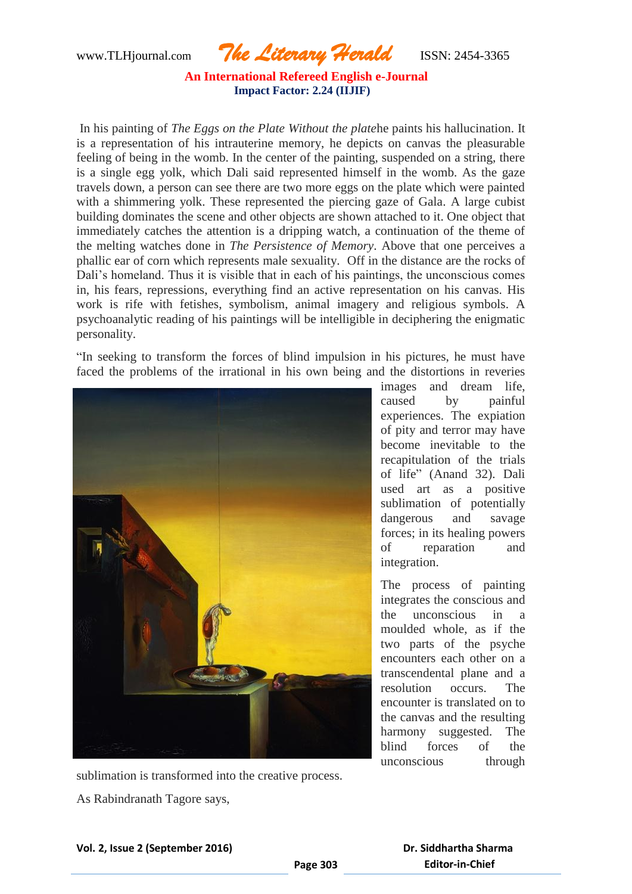www.TLHjournal.com *The Literary Herald*ISSN: 2454-3365

In his painting of *The Eggs on the Plate Without the plate*he paints his hallucination. It is a representation of his intrauterine memory, he depicts on canvas the pleasurable feeling of being in the womb. In the center of the painting, suspended on a string, there is a single egg yolk, which Dali said represented himself in the womb. As the gaze travels down, a person can see there are two more eggs on the plate which were painted with a shimmering yolk. These represented the piercing gaze of Gala. A large cubist building dominates the scene and other objects are shown attached to it. One object that immediately catches the attention is a dripping watch, a continuation of the theme of the melting watches done in *The Persistence of Memory*. Above that one perceives a phallic ear of corn which represents male sexuality. Off in the distance are the rocks of Dali's homeland. Thus it is visible that in each of his paintings, the unconscious comes in, his fears, repressions, everything find an active representation on his canvas. His work is rife with fetishes, symbolism, animal imagery and religious symbols. A psychoanalytic reading of his paintings will be intelligible in deciphering the enigmatic personality.

"In seeking to transform the forces of blind impulsion in his pictures, he must have faced the problems of the irrational in his own being and the distortions in reveries



images and dream life, caused by painful experiences. The expiation of pity and terror may have become inevitable to the recapitulation of the trials of life" (Anand 32). Dali used art as a positive sublimation of potentially dangerous and savage forces; in its healing powers of reparation and integration.

The process of painting integrates the conscious and the unconscious in a moulded whole, as if the two parts of the psyche encounters each other on a transcendental plane and a resolution occurs. The encounter is translated on to the canvas and the resulting harmony suggested. The blind forces of the unconscious through

sublimation is transformed into the creative process.

As Rabindranath Tagore says,